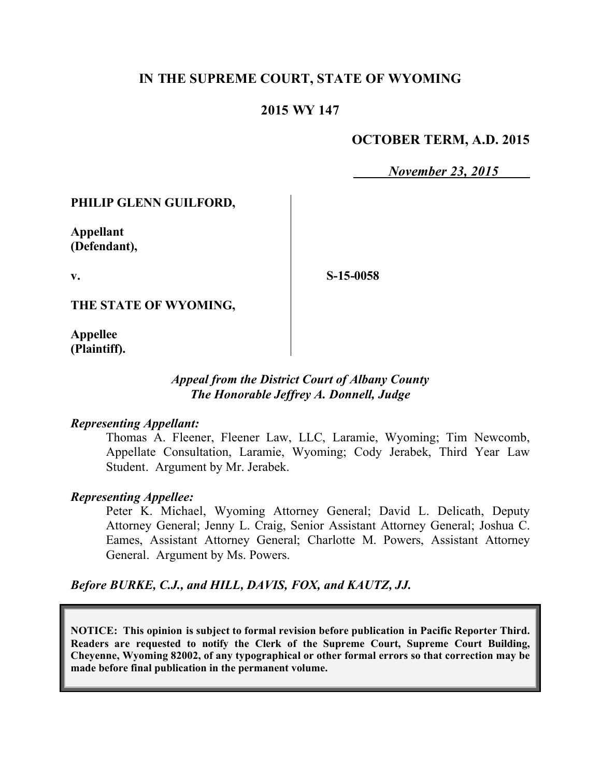# **IN THE SUPREME COURT, STATE OF WYOMING**

## **2015 WY 147**

# **OCTOBER TERM, A.D. 2015**

*November 23, 2015*

### **PHILIP GLENN GUILFORD,**

**Appellant (Defendant),**

**v.**

**S-15-0058**

**THE STATE OF WYOMING,**

**Appellee (Plaintiff).**

#### *Appeal from the District Court of Albany County The Honorable Jeffrey A. Donnell, Judge*

#### *Representing Appellant:*

Thomas A. Fleener, Fleener Law, LLC, Laramie, Wyoming; Tim Newcomb, Appellate Consultation, Laramie, Wyoming; Cody Jerabek, Third Year Law Student. Argument by Mr. Jerabek.

#### *Representing Appellee:*

Peter K. Michael, Wyoming Attorney General; David L. Delicath, Deputy Attorney General; Jenny L. Craig, Senior Assistant Attorney General; Joshua C. Eames, Assistant Attorney General; Charlotte M. Powers, Assistant Attorney General. Argument by Ms. Powers.

*Before BURKE, C.J., and HILL, DAVIS, FOX, and KAUTZ, JJ.*

**NOTICE: This opinion is subject to formal revision before publication in Pacific Reporter Third. Readers are requested to notify the Clerk of the Supreme Court, Supreme Court Building, Cheyenne, Wyoming 82002, of any typographical or other formal errors so that correction may be made before final publication in the permanent volume.**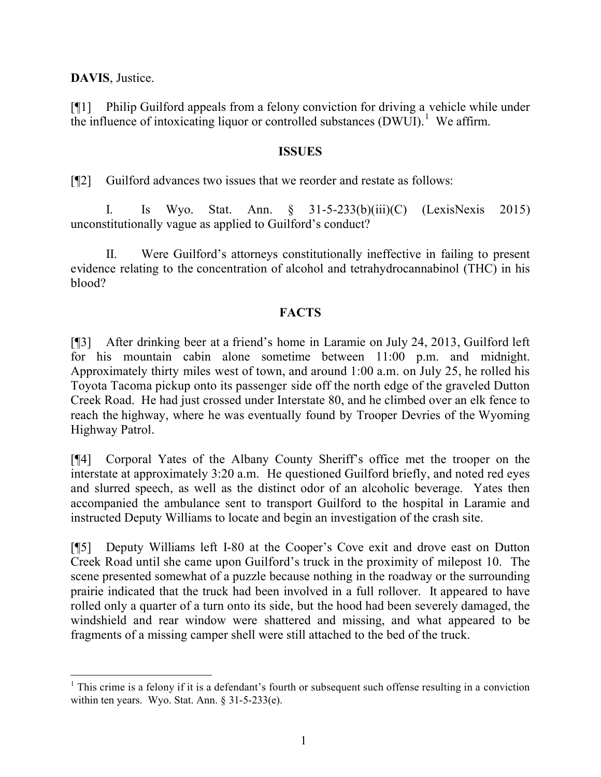**DAVIS**, Justice.

[¶1] Philip Guilford appeals from a felony conviction for driving a vehicle while under the influence of intoxicating liquor or controlled substances  $(DWUI)$ <sup>1</sup>. We affirm.

### **ISSUES**

[¶2] Guilford advances two issues that we reorder and restate as follows:

I. Is Wyo. Stat. Ann. § 31-5-233(b)(iii)(C) (LexisNexis 2015) unconstitutionally vague as applied to Guilford's conduct?

II. Were Guilford's attorneys constitutionally ineffective in failing to present evidence relating to the concentration of alcohol and tetrahydrocannabinol (THC) in his blood?

## **FACTS**

[¶3] After drinking beer at a friend's home in Laramie on July 24, 2013, Guilford left for his mountain cabin alone sometime between 11:00 p.m. and midnight. Approximately thirty miles west of town, and around 1:00 a.m. on July 25, he rolled his Toyota Tacoma pickup onto its passenger side off the north edge of the graveled Dutton Creek Road. He had just crossed under Interstate 80, and he climbed over an elk fence to reach the highway, where he was eventually found by Trooper Devries of the Wyoming Highway Patrol.

[¶4] Corporal Yates of the Albany County Sheriff's office met the trooper on the interstate at approximately 3:20 a.m. He questioned Guilford briefly, and noted red eyes and slurred speech, as well as the distinct odor of an alcoholic beverage. Yates then accompanied the ambulance sent to transport Guilford to the hospital in Laramie and instructed Deputy Williams to locate and begin an investigation of the crash site.

[¶5] Deputy Williams left I-80 at the Cooper's Cove exit and drove east on Dutton Creek Road until she came upon Guilford's truck in the proximity of milepost 10. The scene presented somewhat of a puzzle because nothing in the roadway or the surrounding prairie indicated that the truck had been involved in a full rollover. It appeared to have rolled only a quarter of a turn onto its side, but the hood had been severely damaged, the windshield and rear window were shattered and missing, and what appeared to be fragments of a missing camper shell were still attached to the bed of the truck.

 $1$ . This crime is a felony if it is a defendant's fourth or subsequent such offense resulting in a conviction within ten years. Wyo. Stat. Ann. § 31-5-233(e).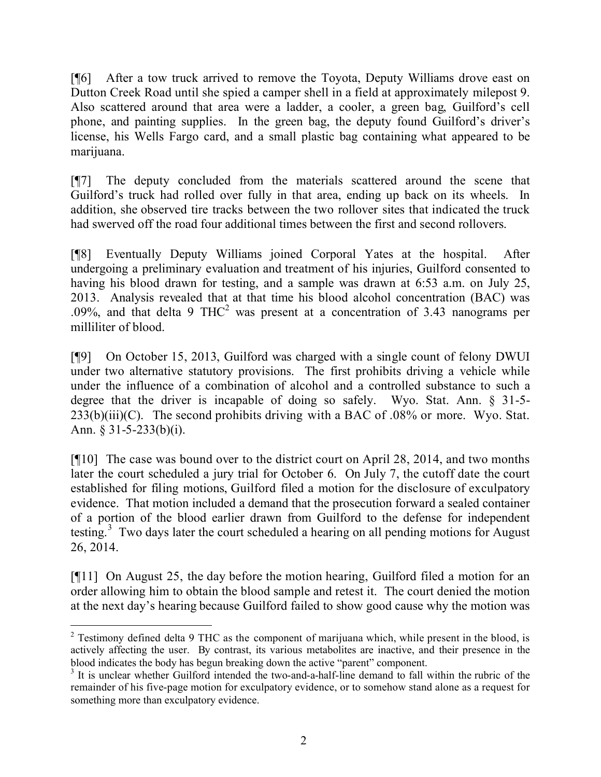[¶6] After a tow truck arrived to remove the Toyota, Deputy Williams drove east on Dutton Creek Road until she spied a camper shell in a field at approximately milepost 9. Also scattered around that area were a ladder, a cooler, a green bag, Guilford's cell phone, and painting supplies. In the green bag, the deputy found Guilford's driver's license, his Wells Fargo card, and a small plastic bag containing what appeared to be marijuana.

[¶7] The deputy concluded from the materials scattered around the scene that Guilford's truck had rolled over fully in that area, ending up back on its wheels. In addition, she observed tire tracks between the two rollover sites that indicated the truck had swerved off the road four additional times between the first and second rollovers.

[¶8] Eventually Deputy Williams joined Corporal Yates at the hospital. After undergoing a preliminary evaluation and treatment of his injuries, Guilford consented to having his blood drawn for testing, and a sample was drawn at 6:53 a.m. on July 25, 2013. Analysis revealed that at that time his blood alcohol concentration (BAC) was .09%, and that delta 9 THC<sup>2</sup> was present at a concentration of 3.43 nanograms per milliliter of blood.

[¶9] On October 15, 2013, Guilford was charged with a single count of felony DWUI under two alternative statutory provisions. The first prohibits driving a vehicle while under the influence of a combination of alcohol and a controlled substance to such a degree that the driver is incapable of doing so safely. Wyo. Stat. Ann. § 31-5-  $233(b)(iii)(C)$ . The second prohibits driving with a BAC of .08% or more. Wyo. Stat. Ann. § 31-5-233(b)(i).

[¶10] The case was bound over to the district court on April 28, 2014, and two months later the court scheduled a jury trial for October 6. On July 7, the cutoff date the court established for filing motions, Guilford filed a motion for the disclosure of exculpatory evidence. That motion included a demand that the prosecution forward a sealed container of a portion of the blood earlier drawn from Guilford to the defense for independent testing.<sup>3</sup> Two days later the court scheduled a hearing on all pending motions for August 26, 2014.

[¶11] On August 25, the day before the motion hearing, Guilford filed a motion for an order allowing him to obtain the blood sample and retest it. The court denied the motion at the next day's hearing because Guilford failed to show good cause why the motion was

 $\overline{a}$ <sup>2</sup> Testimony defined delta 9 THC as the component of marijuana which, while present in the blood, is actively affecting the user. By contrast, its various metabolites are inactive, and their presence in the blood indicates the body has begun breaking down the active "parent" component.

<sup>&</sup>lt;sup>3</sup> It is unclear whether Guilford intended the two-and-a-half-line demand to fall within the rubric of the remainder of his five-page motion for exculpatory evidence, or to somehow stand alone as a request for something more than exculpatory evidence.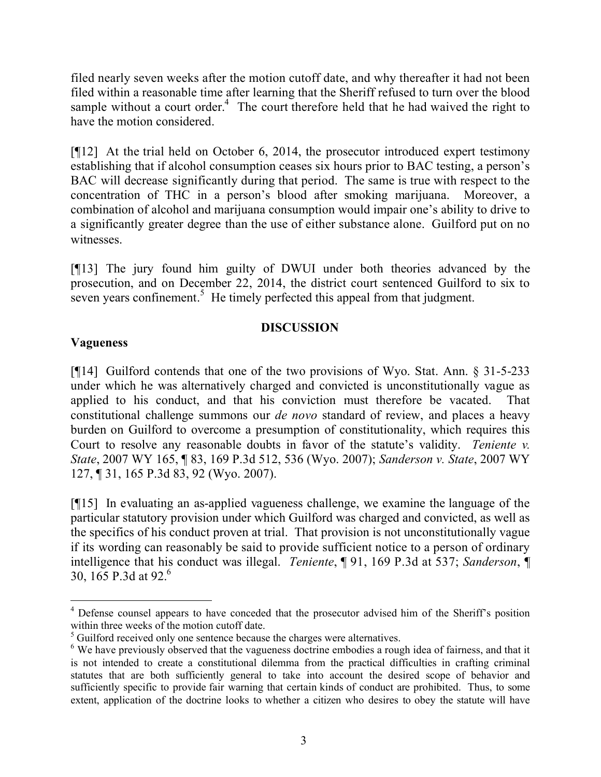filed nearly seven weeks after the motion cutoff date, and why thereafter it had not been filed within a reasonable time after learning that the Sheriff refused to turn over the blood sample without a court order.<sup>4</sup> The court therefore held that he had waived the right to have the motion considered.

[¶12] At the trial held on October 6, 2014, the prosecutor introduced expert testimony establishing that if alcohol consumption ceases six hours prior to BAC testing, a person's BAC will decrease significantly during that period. The same is true with respect to the concentration of THC in a person's blood after smoking marijuana. Moreover, a combination of alcohol and marijuana consumption would impair one's ability to drive to a significantly greater degree than the use of either substance alone. Guilford put on no witnesses.

[¶13] The jury found him guilty of DWUI under both theories advanced by the prosecution, and on December 22, 2014, the district court sentenced Guilford to six to seven years confinement.<sup>5</sup> He timely perfected this appeal from that judgment.

## **DISCUSSION**

## **Vagueness**

[¶14] Guilford contends that one of the two provisions of Wyo. Stat. Ann. § 31-5-233 under which he was alternatively charged and convicted is unconstitutionally vague as applied to his conduct, and that his conviction must therefore be vacated. That constitutional challenge summons our *de novo* standard of review, and places a heavy burden on Guilford to overcome a presumption of constitutionality, which requires this Court to resolve any reasonable doubts in favor of the statute's validity. *Teniente v. State*, 2007 WY 165, ¶ 83, 169 P.3d 512, 536 (Wyo. 2007); *Sanderson v. State*, 2007 WY 127, ¶ 31, 165 P.3d 83, 92 (Wyo. 2007).

[¶15] In evaluating an as-applied vagueness challenge, we examine the language of the particular statutory provision under which Guilford was charged and convicted, as well as the specifics of his conduct proven at trial. That provision is not unconstitutionally vague if its wording can reasonably be said to provide sufficient notice to a person of ordinary intelligence that his conduct was illegal. *Teniente*, ¶ 91, 169 P.3d at 537; *Sanderson*, ¶ 30, 165 P.3d at 92.<sup>6</sup>

<sup>&</sup>lt;sup>4</sup> Defense counsel appears to have conceded that the prosecutor advised him of the Sheriff's position within three weeks of the motion cutoff date.

<sup>&</sup>lt;sup>5</sup> Guilford received only one sentence because the charges were alternatives.

<sup>&</sup>lt;sup>6</sup> We have previously observed that the vagueness doctrine embodies a rough idea of fairness, and that it is not intended to create a constitutional dilemma from the practical difficulties in crafting criminal statutes that are both sufficiently general to take into account the desired scope of behavior and sufficiently specific to provide fair warning that certain kinds of conduct are prohibited. Thus, to some extent, application of the doctrine looks to whether a citizen who desires to obey the statute will have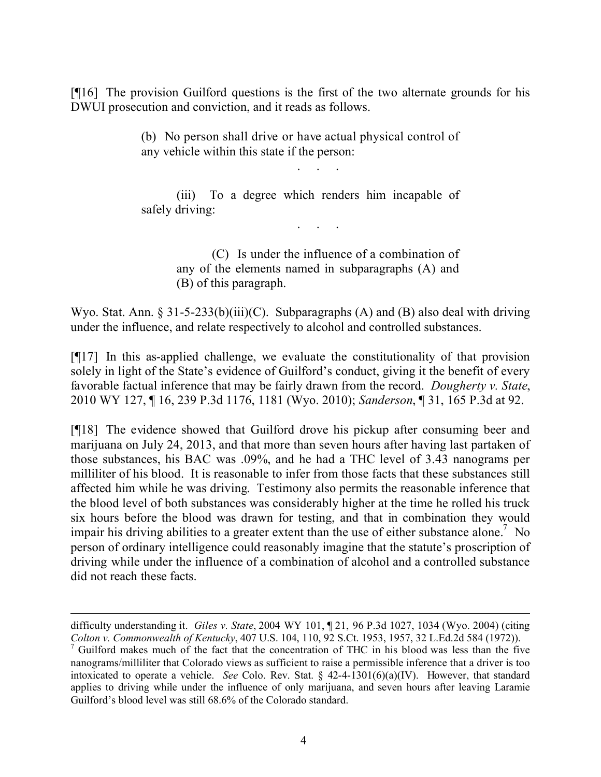[¶16] The provision Guilford questions is the first of the two alternate grounds for his DWUI prosecution and conviction, and it reads as follows.

> (b) No person shall drive or have actual physical control of any vehicle within this state if the person:

. . . . .<br>. . . . . .

(iii) To a degree which renders him incapable of safely driving: . . . . .<br>. . . . . .

> (C) Is under the influence of a combination of any of the elements named in subparagraphs (A) and (B) of this paragraph.

Wyo. Stat. Ann. § 31-5-233(b)(iii)(C). Subparagraphs (A) and (B) also deal with driving under the influence, and relate respectively to alcohol and controlled substances.

[¶17] In this as-applied challenge, we evaluate the constitutionality of that provision solely in light of the State's evidence of Guilford's conduct, giving it the benefit of every favorable factual inference that may be fairly drawn from the record. *Dougherty v. State*, 2010 WY 127, ¶ 16, 239 P.3d 1176, 1181 (Wyo. 2010); *Sanderson*, ¶ 31, 165 P.3d at 92.

[¶18] The evidence showed that Guilford drove his pickup after consuming beer and marijuana on July 24, 2013, and that more than seven hours after having last partaken of those substances, his BAC was .09%, and he had a THC level of 3.43 nanograms per milliliter of his blood. It is reasonable to infer from those facts that these substances still affected him while he was driving. Testimony also permits the reasonable inference that the blood level of both substances was considerably higher at the time he rolled his truck six hours before the blood was drawn for testing, and that in combination they would impair his driving abilities to a greater extent than the use of either substance alone.<sup>7</sup> No person of ordinary intelligence could reasonably imagine that the statute's proscription of driving while under the influence of a combination of alcohol and a controlled substance did not reach these facts.

 $\overline{a}$ 

difficulty understanding it. *Giles v. State*, 2004 WY 101, ¶ 21, 96 P.3d 1027, 1034 (Wyo. 2004) (citing *Colton v. Commonwealth of Kentucky*, 407 U.S. 104, 110, 92 S.Ct. 1953, 1957, 32 L.Ed.2d 584 (1972)).

 $<sup>7</sup>$  Guilford makes much of the fact that the concentration of THC in his blood was less than the five</sup> nanograms/milliliter that Colorado views as sufficient to raise a permissible inference that a driver is too intoxicated to operate a vehicle. *See* Colo. Rev. Stat. § 42-4-1301(6)(a)(IV). However, that standard applies to driving while under the influence of only marijuana, and seven hours after leaving Laramie Guilford's blood level was still 68.6% of the Colorado standard.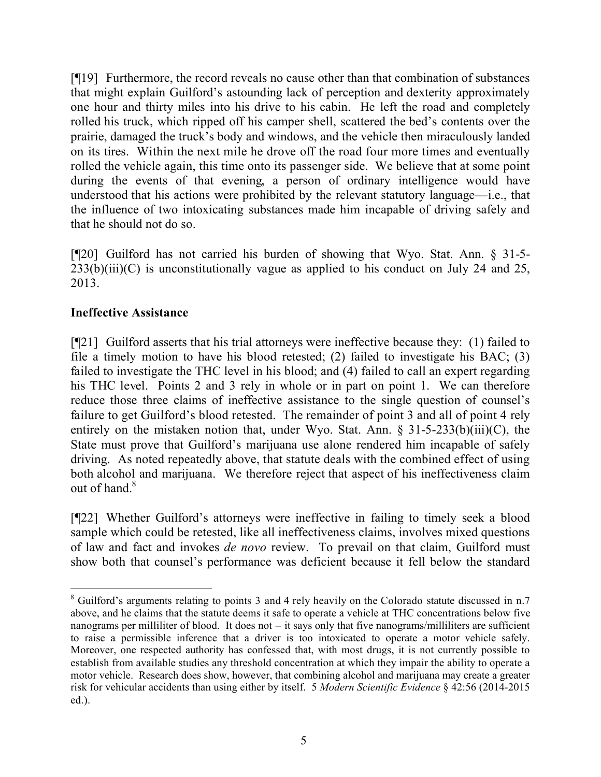[¶19] Furthermore, the record reveals no cause other than that combination of substances that might explain Guilford's astounding lack of perception and dexterity approximately one hour and thirty miles into his drive to his cabin. He left the road and completely rolled his truck, which ripped off his camper shell, scattered the bed's contents over the prairie, damaged the truck's body and windows, and the vehicle then miraculously landed on its tires. Within the next mile he drove off the road four more times and eventually rolled the vehicle again, this time onto its passenger side. We believe that at some point during the events of that evening, a person of ordinary intelligence would have understood that his actions were prohibited by the relevant statutory language—i.e., that the influence of two intoxicating substances made him incapable of driving safely and that he should not do so.

[¶20] Guilford has not carried his burden of showing that Wyo. Stat. Ann. § 31-5-  $233(b)(iii)(C)$  is unconstitutionally vague as applied to his conduct on July 24 and 25, 2013.

# **Ineffective Assistance**

[¶21] Guilford asserts that his trial attorneys were ineffective because they: (1) failed to file a timely motion to have his blood retested; (2) failed to investigate his BAC; (3) failed to investigate the THC level in his blood; and (4) failed to call an expert regarding his THC level. Points 2 and 3 rely in whole or in part on point 1. We can therefore reduce those three claims of ineffective assistance to the single question of counsel's failure to get Guilford's blood retested. The remainder of point 3 and all of point 4 rely entirely on the mistaken notion that, under Wyo. Stat. Ann.  $\S 31-5-233(b)(iii)(C)$ , the State must prove that Guilford's marijuana use alone rendered him incapable of safely driving. As noted repeatedly above, that statute deals with the combined effect of using both alcohol and marijuana. We therefore reject that aspect of his ineffectiveness claim out of hand  $8$ 

[¶22] Whether Guilford's attorneys were ineffective in failing to timely seek a blood sample which could be retested, like all ineffectiveness claims, involves mixed questions of law and fact and invokes *de novo* review. To prevail on that claim, Guilford must show both that counsel's performance was deficient because it fell below the standard

 $\overline{a}$ <sup>8</sup> Guilford's arguments relating to points 3 and 4 rely heavily on the Colorado statute discussed in n.7 above, and he claims that the statute deems it safe to operate a vehicle at THC concentrations below five nanograms per milliliter of blood. It does not – it says only that five nanograms/milliliters are sufficient to raise a permissible inference that a driver is too intoxicated to operate a motor vehicle safely. Moreover, one respected authority has confessed that, with most drugs, it is not currently possible to establish from available studies any threshold concentration at which they impair the ability to operate a motor vehicle. Research does show, however, that combining alcohol and marijuana may create a greater risk for vehicular accidents than using either by itself. 5 *Modern Scientific Evidence* § 42:56 (2014-2015 ed.).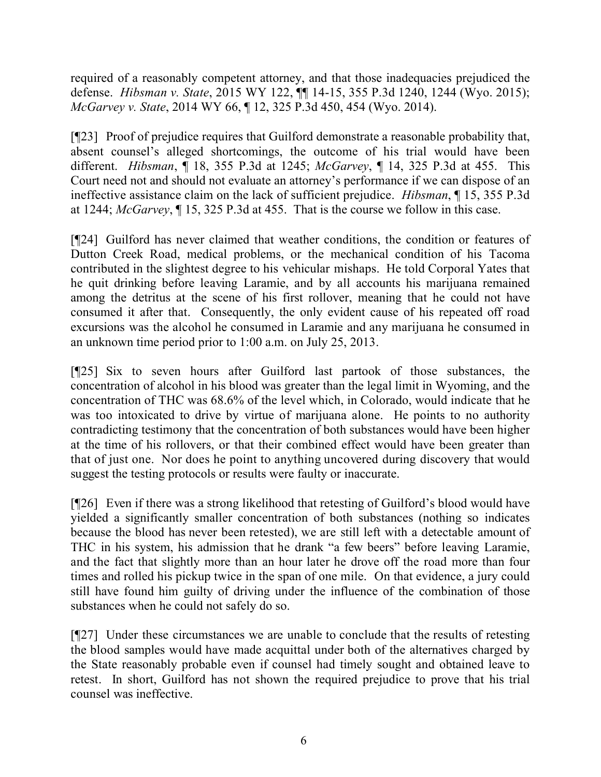required of a reasonably competent attorney, and that those inadequacies prejudiced the defense. *Hibsman v. State*, 2015 WY 122, ¶¶ 14-15, 355 P.3d 1240, 1244 (Wyo. 2015); *McGarvey v. State*, 2014 WY 66, ¶ 12, 325 P.3d 450, 454 (Wyo. 2014).

[¶23] Proof of prejudice requires that Guilford demonstrate a reasonable probability that, absent counsel's alleged shortcomings, the outcome of his trial would have been different. *Hibsman*, ¶ 18, 355 P.3d at 1245; *McGarvey*, ¶ 14, 325 P.3d at 455. This Court need not and should not evaluate an attorney's performance if we can dispose of an ineffective assistance claim on the lack of sufficient prejudice. *Hibsman*, ¶ 15, 355 P.3d at 1244; *McGarvey*, ¶ 15, 325 P.3d at 455. That is the course we follow in this case.

[¶24] Guilford has never claimed that weather conditions, the condition or features of Dutton Creek Road, medical problems, or the mechanical condition of his Tacoma contributed in the slightest degree to his vehicular mishaps. He told Corporal Yates that he quit drinking before leaving Laramie, and by all accounts his marijuana remained among the detritus at the scene of his first rollover, meaning that he could not have consumed it after that. Consequently, the only evident cause of his repeated off road excursions was the alcohol he consumed in Laramie and any marijuana he consumed in an unknown time period prior to 1:00 a.m. on July 25, 2013.

[¶25] Six to seven hours after Guilford last partook of those substances, the concentration of alcohol in his blood was greater than the legal limit in Wyoming, and the concentration of THC was 68.6% of the level which, in Colorado, would indicate that he was too intoxicated to drive by virtue of marijuana alone. He points to no authority contradicting testimony that the concentration of both substances would have been higher at the time of his rollovers, or that their combined effect would have been greater than that of just one. Nor does he point to anything uncovered during discovery that would suggest the testing protocols or results were faulty or inaccurate.

[¶26] Even if there was a strong likelihood that retesting of Guilford's blood would have yielded a significantly smaller concentration of both substances (nothing so indicates because the blood has never been retested), we are still left with a detectable amount of THC in his system, his admission that he drank "a few beers" before leaving Laramie, and the fact that slightly more than an hour later he drove off the road more than four times and rolled his pickup twice in the span of one mile. On that evidence, a jury could still have found him guilty of driving under the influence of the combination of those substances when he could not safely do so.

[¶27] Under these circumstances we are unable to conclude that the results of retesting the blood samples would have made acquittal under both of the alternatives charged by the State reasonably probable even if counsel had timely sought and obtained leave to retest. In short, Guilford has not shown the required prejudice to prove that his trial counsel was ineffective.